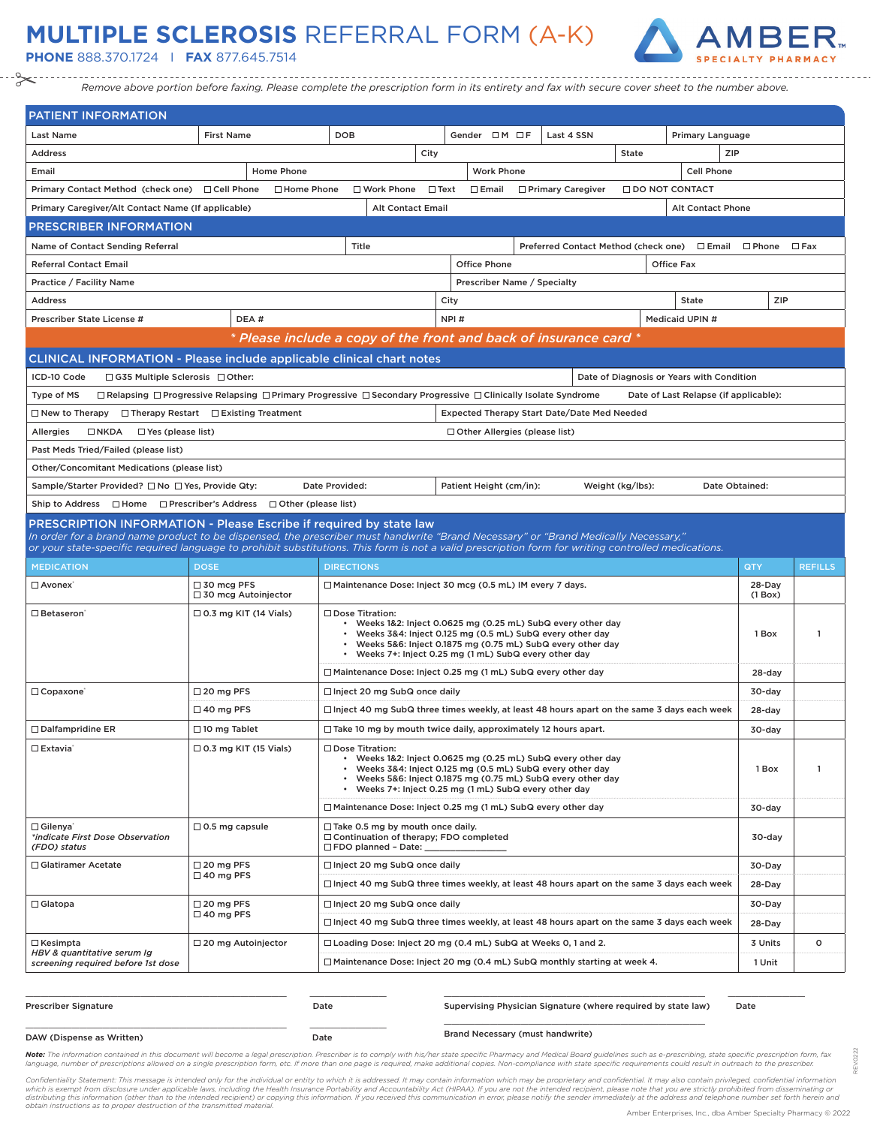## **MULTIPLE SCLEROSIS** REFERRAL FORM (A-K)

**PHONE** 888.370.1724 I **FAX** 877.645.7514



*Remove above portion before faxing. Please complete the prescription form in its entirety and fax with secure cover sheet to the number above.*

| <b>PATIENT INFORMATION</b>                                                                                                                                                                               |                                                                                                                                          |                                                                                                                                                                                                                                                                                   |                          |                                                    |                                      |                  |                                           |                   |                                 |                |
|----------------------------------------------------------------------------------------------------------------------------------------------------------------------------------------------------------|------------------------------------------------------------------------------------------------------------------------------------------|-----------------------------------------------------------------------------------------------------------------------------------------------------------------------------------------------------------------------------------------------------------------------------------|--------------------------|----------------------------------------------------|--------------------------------------|------------------|-------------------------------------------|-------------------|---------------------------------|----------------|
| <b>Last Name</b>                                                                                                                                                                                         | <b>First Name</b>                                                                                                                        | <b>DOB</b>                                                                                                                                                                                                                                                                        |                          | Gender OM OF                                       | Last 4 SSN                           |                  |                                           | Primary Language  |                                 |                |
| <b>Address</b>                                                                                                                                                                                           |                                                                                                                                          |                                                                                                                                                                                                                                                                                   | City                     |                                                    |                                      | State            |                                           | ZIP               |                                 |                |
| Email                                                                                                                                                                                                    | Home Phone                                                                                                                               |                                                                                                                                                                                                                                                                                   |                          | <b>Work Phone</b>                                  |                                      |                  |                                           | <b>Cell Phone</b> |                                 |                |
| Primary Contact Method (check one)                                                                                                                                                                       | □ Cell Phone<br>□ Home Phone                                                                                                             | □ Work Phone                                                                                                                                                                                                                                                                      | $\Box$ Text              | $\square$ Email                                    | □ Primary Caregiver                  |                  | □ DO NOT CONTACT                          |                   |                                 |                |
| Primary Caregiver/Alt Contact Name (If applicable)                                                                                                                                                       |                                                                                                                                          |                                                                                                                                                                                                                                                                                   | <b>Alt Contact Email</b> |                                                    |                                      |                  |                                           | Alt Contact Phone |                                 |                |
| <b>PRESCRIBER INFORMATION</b>                                                                                                                                                                            |                                                                                                                                          |                                                                                                                                                                                                                                                                                   |                          |                                                    |                                      |                  |                                           |                   |                                 |                |
| Name of Contact Sending Referral                                                                                                                                                                         |                                                                                                                                          | Title                                                                                                                                                                                                                                                                             |                          |                                                    | Preferred Contact Method (check one) |                  |                                           |                   | $\square$ Email $\square$ Phone | $\square$ Fax  |
| <b>Referral Contact Email</b>                                                                                                                                                                            |                                                                                                                                          |                                                                                                                                                                                                                                                                                   |                          | <b>Office Phone</b>                                |                                      |                  | Office Fax                                |                   |                                 |                |
| Practice / Facility Name                                                                                                                                                                                 |                                                                                                                                          |                                                                                                                                                                                                                                                                                   |                          | Prescriber Name / Specialty                        |                                      |                  |                                           |                   |                                 |                |
| <b>Address</b>                                                                                                                                                                                           |                                                                                                                                          |                                                                                                                                                                                                                                                                                   | City                     |                                                    |                                      |                  | <b>State</b>                              |                   | <b>ZIP</b>                      |                |
| Prescriber State License #                                                                                                                                                                               | DEA#                                                                                                                                     |                                                                                                                                                                                                                                                                                   | NPI#                     |                                                    |                                      |                  | Medicaid UPIN #                           |                   |                                 |                |
|                                                                                                                                                                                                          |                                                                                                                                          | * Please include a copy of the front and back of insurance card *                                                                                                                                                                                                                 |                          |                                                    |                                      |                  |                                           |                   |                                 |                |
| CLINICAL INFORMATION - Please include applicable clinical chart notes                                                                                                                                    |                                                                                                                                          |                                                                                                                                                                                                                                                                                   |                          |                                                    |                                      |                  |                                           |                   |                                 |                |
| ICD-10 Code<br>$\Box$ G35 Multiple Sclerosis $\Box$ Other:                                                                                                                                               |                                                                                                                                          |                                                                                                                                                                                                                                                                                   |                          |                                                    |                                      |                  | Date of Diagnosis or Years with Condition |                   |                                 |                |
| Type of MS                                                                                                                                                                                               | $\Box$ Relapsing $\Box$ Progressive Relapsing $\Box$ Primary Progressive $\Box$ Secondary Progressive $\Box$ Clinically Isolate Syndrome |                                                                                                                                                                                                                                                                                   |                          |                                                    |                                      |                  | Date of Last Relapse (if applicable):     |                   |                                 |                |
| $\Box$ New to Therapy                                                                                                                                                                                    | $\Box$ Therapy Restart $\Box$ Existing Treatment                                                                                         |                                                                                                                                                                                                                                                                                   |                          | <b>Expected Therapy Start Date/Date Med Needed</b> |                                      |                  |                                           |                   |                                 |                |
| <b>Allergies</b><br>$\Box$ NKDA<br>$\Box$ Yes (please list)                                                                                                                                              |                                                                                                                                          |                                                                                                                                                                                                                                                                                   |                          | $\Box$ Other Allergies (please list)               |                                      |                  |                                           |                   |                                 |                |
| Past Meds Tried/Failed (please list)                                                                                                                                                                     |                                                                                                                                          |                                                                                                                                                                                                                                                                                   |                          |                                                    |                                      |                  |                                           |                   |                                 |                |
| Other/Concomitant Medications (please list)                                                                                                                                                              |                                                                                                                                          |                                                                                                                                                                                                                                                                                   |                          |                                                    |                                      |                  |                                           |                   |                                 |                |
| Sample/Starter Provided? □ No □ Yes, Provide Qty:                                                                                                                                                        |                                                                                                                                          | Date Provided:                                                                                                                                                                                                                                                                    |                          | Patient Height (cm/in):                            |                                      | Weight (kg/lbs): |                                           | Date Obtained:    |                                 |                |
| Ship to Address □ Home □ Prescriber's Address                                                                                                                                                            | □ Other (please list)                                                                                                                    |                                                                                                                                                                                                                                                                                   |                          |                                                    |                                      |                  |                                           |                   |                                 |                |
| PRESCRIPTION INFORMATION - Please Escribe if required by state law<br>In order for a brand name product to be dispensed, the prescriber must handwrite "Brand Necessary" or "Brand Medically Necessary," |                                                                                                                                          |                                                                                                                                                                                                                                                                                   |                          |                                                    |                                      |                  |                                           |                   |                                 |                |
| or your state-specific required language to prohibit substitutions. This form is not a valid prescription form for writing controlled medications.                                                       |                                                                                                                                          |                                                                                                                                                                                                                                                                                   |                          |                                                    |                                      |                  |                                           |                   |                                 |                |
| <b>MEDICATION</b>                                                                                                                                                                                        | <b>DOSE</b>                                                                                                                              | <b>DIRECTIONS</b>                                                                                                                                                                                                                                                                 |                          |                                                    |                                      |                  |                                           |                   | QTY                             | <b>REFILLS</b> |
| □ Avonex <sup>®</sup>                                                                                                                                                                                    | □ 30 mcg PFS<br>$\Box$ 30 mcg Autoinjector                                                                                               | □ Maintenance Dose: Inject 30 mcg (0.5 mL) IM every 7 days.                                                                                                                                                                                                                       |                          |                                                    |                                      |                  |                                           |                   | 28-Day<br>$(1$ Box)             |                |
| $\square$ Betaseron'                                                                                                                                                                                     | $\Box$ 0.3 mg KIT (14 Vials)                                                                                                             | □ Dose Titration:<br>• Weeks 1&2: Inject 0.0625 mg (0.25 mL) SubQ every other day<br>• Weeks 3&4: Inject 0.125 mg (0.5 mL) SubQ every other day<br>• Weeks 5&6: Inject 0.1875 mg (0.75 mL) SubQ every other day<br>• Weeks 7+: Inject 0.25 mg (1 mL) SubQ every other day         |                          |                                                    |                                      |                  |                                           |                   | 1 Box                           | $\mathbf{1}$   |
|                                                                                                                                                                                                          |                                                                                                                                          | □ Maintenance Dose: Inject 0.25 mg (1 mL) SubQ every other day                                                                                                                                                                                                                    |                          |                                                    |                                      |                  |                                           |                   | 28-day                          |                |
| Copaxone <sup>®</sup>                                                                                                                                                                                    | $\Box$ 20 mg PFS                                                                                                                         | □ Inject 20 mg SubQ once daily                                                                                                                                                                                                                                                    |                          |                                                    |                                      |                  |                                           |                   | 30-day                          |                |
|                                                                                                                                                                                                          | $\Box$ 40 mg PFS                                                                                                                         | $\Box$ Inject 40 mg SubQ three times weekly, at least 48 hours apart on the same 3 days each week                                                                                                                                                                                 |                          |                                                    |                                      |                  |                                           |                   | 28-day                          |                |
| $\Box$ Dalfampridine ER                                                                                                                                                                                  | $\Box$ 10 mg Tablet                                                                                                                      | $\Box$ Take 10 mg by mouth twice daily, approximately 12 hours apart.                                                                                                                                                                                                             |                          |                                                    |                                      |                  |                                           |                   | $30$ -day                       |                |
| □ Extavia®                                                                                                                                                                                               | $\Box$ 0.3 mg KIT (15 Vials)                                                                                                             | $\square$ Dose Titration:<br>• Weeks 1&2: Inject 0.0625 mg (0.25 mL) SubQ every other day<br>• Weeks 3&4: Inject 0.125 mg (0.5 mL) SubQ every other day<br>• Weeks 5&6: Inject 0.1875 mg (0.75 mL) SubQ every other day<br>• Weeks 7+: Inject 0.25 mg (1 mL) SubQ every other day |                          |                                                    |                                      |                  |                                           |                   | 1 Box                           | $\mathbf{1}$   |
|                                                                                                                                                                                                          |                                                                                                                                          | □ Maintenance Dose: Inject 0.25 mg (1 mL) SubQ every other day                                                                                                                                                                                                                    |                          |                                                    |                                      |                  |                                           |                   | 30-day                          |                |
| □ Gilenya'<br>*indicate First Dose Observation<br>(FDO) status                                                                                                                                           | $\Box$ 0.5 mg capsule                                                                                                                    | $\Box$ Take 0.5 mg by mouth once daily.<br>Continuation of therapy; FDO completed<br>□ FDO planned - Date:                                                                                                                                                                        |                          |                                                    |                                      |                  |                                           |                   | 30-day                          |                |
| □ Glatiramer Acetate                                                                                                                                                                                     | $\Box$ 20 mg PFS<br>$\Box$ 40 mg PFS                                                                                                     | □ Inject 20 mg SubQ once daily<br>$\Box$ Inject 40 mg SubQ three times weekly, at least 48 hours apart on the same 3 days each week                                                                                                                                               |                          |                                                    |                                      |                  |                                           |                   | 30-Day<br>28-Day                |                |
| $\Box$ Glatopa                                                                                                                                                                                           | $\Box$ 20 mg PFS                                                                                                                         | □ Inject 20 mg SubQ once daily                                                                                                                                                                                                                                                    |                          |                                                    |                                      |                  |                                           |                   | 30-Day                          |                |
|                                                                                                                                                                                                          | $\Box$ 40 mg PFS                                                                                                                         | $\Box$ Inject 40 mg SubQ three times weekly, at least 48 hours apart on the same 3 days each week                                                                                                                                                                                 |                          |                                                    |                                      |                  |                                           |                   |                                 |                |
|                                                                                                                                                                                                          |                                                                                                                                          |                                                                                                                                                                                                                                                                                   |                          |                                                    |                                      |                  |                                           |                   | 28-Day                          |                |
| $\Box$ Kesimpta<br>HBV & quantitative serum Ig<br>screening required before 1st dose                                                                                                                     | $\Box$ 20 mg Autoinjector                                                                                                                | □ Loading Dose: Inject 20 mg (0.4 mL) SubQ at Weeks 0, 1 and 2.<br>$\Box$ Maintenance Dose: Inject 20 mg (0.4 mL) SubQ monthly starting at week 4.                                                                                                                                |                          |                                                    |                                      |                  |                                           |                   | 3 Units<br>1 Unit               | o              |

| <b>Prescriber Signature</b> | Date | Supervising Physician Signature (where required by state law) |
|-----------------------------|------|---------------------------------------------------------------|
| DAW (Dispense as Written)   | Date | <b>Brand Necessary (must handwrite)</b>                       |

d by state law) Date

Note: The information contained in this document will become a legal prescription. Prescriber is to comply with his/her state specific Pharmacy and Medical Board guidelines such as e-prescribing, state specific prescriptio language, number of prescriptions allowed on a single prescription form, etc. If more than one page is required, make additional copies. Non-compliance with state specific requirements could result in outreach to the presc

Confidentiality Statement: This message is intended only for the individual or entity to which it is addressed. It may contain information which may be proprietary and confidential. It may also contain privileged, confiden

REV.0222

0222 ğ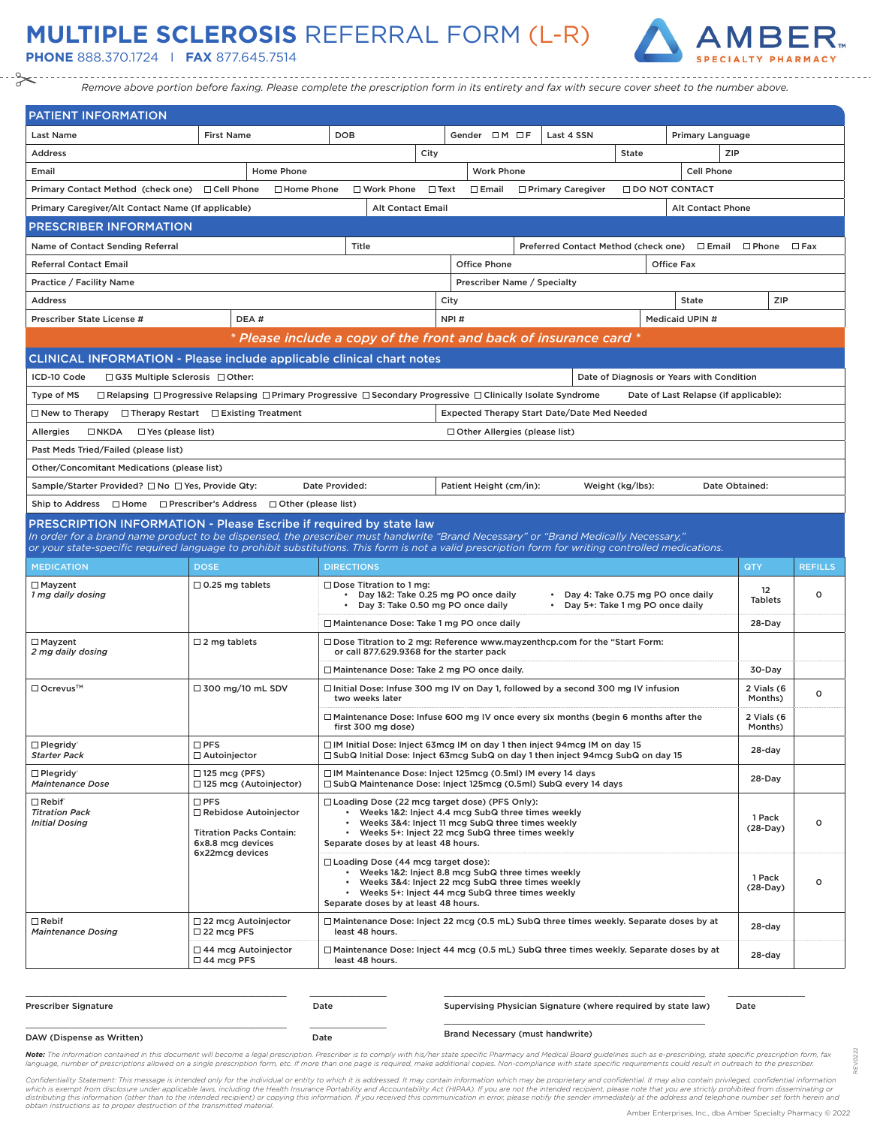## **MULTIPLE SCLEROSIS** REFERRAL FORM (L-R)

**PHONE** 888.370.1724 I **FAX** 877.645.7514



*Remove above portion before faxing. Please complete the prescription form in its entirety and fax with secure cover sheet to the number above.*

| PATIENT INFORMATION                                                                                                                                                                                                                                                                      |                                                                                                                                          |                                                                                                                                                                                                                             |             |                                                                                                                                                                                                                                                                   |                                                                          |                  |                                           |                                          |                   |
|------------------------------------------------------------------------------------------------------------------------------------------------------------------------------------------------------------------------------------------------------------------------------------------|------------------------------------------------------------------------------------------------------------------------------------------|-----------------------------------------------------------------------------------------------------------------------------------------------------------------------------------------------------------------------------|-------------|-------------------------------------------------------------------------------------------------------------------------------------------------------------------------------------------------------------------------------------------------------------------|--------------------------------------------------------------------------|------------------|-------------------------------------------|------------------------------------------|-------------------|
| <b>Last Name</b>                                                                                                                                                                                                                                                                         | <b>First Name</b>                                                                                                                        | <b>DOB</b>                                                                                                                                                                                                                  |             | Gender $\Box M \Box F$                                                                                                                                                                                                                                            | Last 4 SSN                                                               |                  | Primary Language                          |                                          |                   |
| <b>Address</b>                                                                                                                                                                                                                                                                           |                                                                                                                                          |                                                                                                                                                                                                                             | City        |                                                                                                                                                                                                                                                                   |                                                                          | State            |                                           | ZIP                                      |                   |
| Email                                                                                                                                                                                                                                                                                    | Home Phone                                                                                                                               |                                                                                                                                                                                                                             |             | <b>Work Phone</b>                                                                                                                                                                                                                                                 |                                                                          |                  | <b>Cell Phone</b>                         |                                          |                   |
| Primary Contact Method (check one) □ Cell Phone                                                                                                                                                                                                                                          | □ Home Phone                                                                                                                             | $\Box$ Work Phone                                                                                                                                                                                                           | $\Box$ Text | $\Box$ Email                                                                                                                                                                                                                                                      | □ Primary Caregiver                                                      |                  | <b>O DO NOT CONTACT</b>                   |                                          |                   |
| Primary Caregiver/Alt Contact Name (If applicable)                                                                                                                                                                                                                                       |                                                                                                                                          | <b>Alt Contact Email</b>                                                                                                                                                                                                    |             |                                                                                                                                                                                                                                                                   |                                                                          |                  | <b>Alt Contact Phone</b>                  |                                          |                   |
| <b>PRESCRIBER INFORMATION</b>                                                                                                                                                                                                                                                            |                                                                                                                                          |                                                                                                                                                                                                                             |             |                                                                                                                                                                                                                                                                   |                                                                          |                  |                                           |                                          |                   |
| Name of Contact Sending Referral                                                                                                                                                                                                                                                         |                                                                                                                                          | Title                                                                                                                                                                                                                       |             |                                                                                                                                                                                                                                                                   | Preferred Contact Method (check one)                                     |                  |                                           | □ Email □ Phone                          | $\Box$ Fax        |
| <b>Referral Contact Email</b>                                                                                                                                                                                                                                                            |                                                                                                                                          |                                                                                                                                                                                                                             |             | <b>Office Phone</b>                                                                                                                                                                                                                                               |                                                                          |                  | <b>Office Fax</b>                         |                                          |                   |
| Practice / Facility Name                                                                                                                                                                                                                                                                 |                                                                                                                                          |                                                                                                                                                                                                                             |             | Prescriber Name / Specialty                                                                                                                                                                                                                                       |                                                                          |                  |                                           |                                          |                   |
| <b>Address</b>                                                                                                                                                                                                                                                                           |                                                                                                                                          |                                                                                                                                                                                                                             | City        |                                                                                                                                                                                                                                                                   |                                                                          |                  | <b>State</b>                              | ZIP                                      |                   |
| Prescriber State License #                                                                                                                                                                                                                                                               | DEA#                                                                                                                                     |                                                                                                                                                                                                                             |             | NPI#                                                                                                                                                                                                                                                              |                                                                          |                  | Medicaid UPIN #                           |                                          |                   |
|                                                                                                                                                                                                                                                                                          |                                                                                                                                          | * Please include a copy of the front and back of insurance card *                                                                                                                                                           |             |                                                                                                                                                                                                                                                                   |                                                                          |                  |                                           |                                          |                   |
| <b>CLINICAL INFORMATION - Please include applicable clinical chart notes</b>                                                                                                                                                                                                             |                                                                                                                                          |                                                                                                                                                                                                                             |             |                                                                                                                                                                                                                                                                   |                                                                          |                  |                                           |                                          |                   |
| ICD-10 Code<br>□ G35 Multiple Sclerosis □ Other:                                                                                                                                                                                                                                         |                                                                                                                                          |                                                                                                                                                                                                                             |             |                                                                                                                                                                                                                                                                   |                                                                          |                  | Date of Diagnosis or Years with Condition |                                          |                   |
| Type of MS                                                                                                                                                                                                                                                                               | $\Box$ Relapsing $\Box$ Progressive Relapsing $\Box$ Primary Progressive $\Box$ Secondary Progressive $\Box$ Clinically Isolate Syndrome |                                                                                                                                                                                                                             |             |                                                                                                                                                                                                                                                                   |                                                                          |                  | Date of Last Relapse (if applicable):     |                                          |                   |
| $\Box$ New to Therapy                                                                                                                                                                                                                                                                    | $\Box$ Therapy Restart $\Box$ Existing Treatment                                                                                         |                                                                                                                                                                                                                             |             |                                                                                                                                                                                                                                                                   | <b>Expected Therapy Start Date/Date Med Needed</b>                       |                  |                                           |                                          |                   |
| Allergies<br>$\Box$ NKDA<br>$\Box$ Yes (please list)                                                                                                                                                                                                                                     |                                                                                                                                          |                                                                                                                                                                                                                             |             | $\Box$ Other Allergies (please list)                                                                                                                                                                                                                              |                                                                          |                  |                                           |                                          |                   |
| Past Meds Tried/Failed (please list)                                                                                                                                                                                                                                                     |                                                                                                                                          |                                                                                                                                                                                                                             |             |                                                                                                                                                                                                                                                                   |                                                                          |                  |                                           |                                          |                   |
| Other/Concomitant Medications (please list)                                                                                                                                                                                                                                              |                                                                                                                                          |                                                                                                                                                                                                                             |             |                                                                                                                                                                                                                                                                   |                                                                          |                  |                                           |                                          |                   |
| Sample/Starter Provided? □ No □ Yes, Provide Qty:                                                                                                                                                                                                                                        |                                                                                                                                          | Date Provided:                                                                                                                                                                                                              |             | Patient Height (cm/in):                                                                                                                                                                                                                                           |                                                                          | Weight (kg/lbs): |                                           | Date Obtained:                           |                   |
| Ship to Address □ Home □ Prescriber's Address □ Other (please list)                                                                                                                                                                                                                      |                                                                                                                                          |                                                                                                                                                                                                                             |             |                                                                                                                                                                                                                                                                   |                                                                          |                  |                                           |                                          |                   |
| PRESCRIPTION INFORMATION - Please Escribe if required by state law                                                                                                                                                                                                                       |                                                                                                                                          |                                                                                                                                                                                                                             |             |                                                                                                                                                                                                                                                                   |                                                                          |                  |                                           |                                          |                   |
| In order for a brand name product to be dispensed, the prescriber must handwrite "Brand Necessary" or "Brand Medically Necessary,"<br>or your state-specific required language to prohibit substitutions. This form is not a valid prescription form for writing controlled medications. |                                                                                                                                          |                                                                                                                                                                                                                             |             |                                                                                                                                                                                                                                                                   |                                                                          |                  |                                           |                                          |                   |
| <b>MEDICATION</b>                                                                                                                                                                                                                                                                        | <b>DOSE</b>                                                                                                                              | <b>DIRECTIONS</b>                                                                                                                                                                                                           |             |                                                                                                                                                                                                                                                                   |                                                                          |                  |                                           | QTY                                      | <b>REFILLS</b>    |
| $\Box$ Mayzent                                                                                                                                                                                                                                                                           | $\Box$ 0.25 mg tablets                                                                                                                   | $\Box$ Dose Titration to 1 mg:                                                                                                                                                                                              |             |                                                                                                                                                                                                                                                                   |                                                                          |                  |                                           |                                          |                   |
| 1 mg daily dosing                                                                                                                                                                                                                                                                        |                                                                                                                                          | • Day 1&2: Take 0.25 mg PO once daily<br>• Day 3: Take 0.50 mg PO once daily                                                                                                                                                |             |                                                                                                                                                                                                                                                                   | • Day 4: Take 0.75 mg PO once daily<br>• Day 5+: Take 1 mg PO once daily |                  |                                           | 12<br><b>Tablets</b>                     | o                 |
|                                                                                                                                                                                                                                                                                          |                                                                                                                                          | □ Maintenance Dose: Take 1 mg PO once daily                                                                                                                                                                                 |             |                                                                                                                                                                                                                                                                   |                                                                          |                  |                                           | 28-Day                                   |                   |
| $\Box$ Mayzent<br>2 mg daily dosing                                                                                                                                                                                                                                                      | $\Box$ 2 mg tablets                                                                                                                      | □ Dose Titration to 2 mg: Reference www.mayzenthcp.com for the "Start Form:<br>or call 877.629.9368 for the starter pack                                                                                                    |             |                                                                                                                                                                                                                                                                   |                                                                          |                  |                                           |                                          |                   |
|                                                                                                                                                                                                                                                                                          |                                                                                                                                          | □ Maintenance Dose: Take 2 mg PO once daily.                                                                                                                                                                                |             |                                                                                                                                                                                                                                                                   |                                                                          |                  |                                           | 30-Day                                   |                   |
| □ Ocrevus™                                                                                                                                                                                                                                                                               | $\Box$ 300 mg/10 mL SDV                                                                                                                  | $\Box$ Initial Dose: Infuse 300 mg IV on Day 1, followed by a second 300 mg IV infusion<br>two weeks later                                                                                                                  |             |                                                                                                                                                                                                                                                                   |                                                                          |                  |                                           | 2 Vials (6<br>Months)                    | o                 |
|                                                                                                                                                                                                                                                                                          |                                                                                                                                          | $\Box$ Maintenance Dose: Infuse 600 mg IV once every six months (begin 6 months after the<br>first 300 mg dose)                                                                                                             |             |                                                                                                                                                                                                                                                                   |                                                                          |                  |                                           | 2 Vials (6<br>Months)                    |                   |
| $\Box$ Plegridy<br><b>Starter Pack</b>                                                                                                                                                                                                                                                   | $\square$ PFS<br>□ Autoinjector                                                                                                          | □ IM Initial Dose: Inject 63mcg IM on day 1 then inject 94mcg IM on day 15<br>□ SubQ Initial Dose: Inject 63mcg SubQ on day 1 then inject 94mcg SubQ on day 15                                                              |             |                                                                                                                                                                                                                                                                   |                                                                          |                  |                                           | 28-day                                   |                   |
| $\Box$ Plegridy<br><b>Maintenance Dose</b>                                                                                                                                                                                                                                               | $\Box$ 125 mcg (PFS)<br>□ 125 mcg (Autoinjector)                                                                                         | □ IM Maintenance Dose: Inject 125mcg (0.5ml) IM every 14 days<br>□ SubQ Maintenance Dose: Inject 125mcg (0.5ml) SubQ every 14 days                                                                                          |             |                                                                                                                                                                                                                                                                   |                                                                          |                  |                                           | 28-Day                                   |                   |
| $\Box$ Rebif'<br><b>Titration Pack</b><br><b>Initial Dosing</b>                                                                                                                                                                                                                          | $\square$ PFS<br>$\Box$ Rebidose Autoinjector<br><b>Titration Packs Contain:</b><br>6x8.8 mcg devices<br>6x22mcg devices                 | □ Loading Dose (22 mcg target dose) (PFS Only):<br>$\bullet$<br>$\bullet$<br>Separate doses by at least 48 hours.<br>□ Loading Dose (44 mcg target dose):<br>$\bullet$<br>• Weeks 5+: Inject 44 mcg SubQ three times weekly |             | Weeks 1&2: Inject 4.4 mcg SubQ three times weekly<br>Weeks 3&4: Inject 11 mcg SubQ three times weekly<br>Weeks 5+: Inject 22 mcg SubQ three times weekly<br>Weeks 1&2: Inject 8.8 mcg SubQ three times weekly<br>Weeks 3&4: Inject 22 mcg SubQ three times weekly |                                                                          |                  |                                           | 1 Pack<br>(28-Day)<br>1 Pack<br>(28-Day) | o<br>$\mathsf{o}$ |
| $\Box$ Rebif                                                                                                                                                                                                                                                                             | $\Box$ 22 mcg Autoinjector                                                                                                               | Separate doses by at least 48 hours.<br>□ Maintenance Dose: Inject 22 mcg (0.5 mL) SubQ three times weekly. Separate doses by at                                                                                            |             |                                                                                                                                                                                                                                                                   |                                                                          |                  |                                           |                                          |                   |
|                                                                                                                                                                                                                                                                                          |                                                                                                                                          |                                                                                                                                                                                                                             |             |                                                                                                                                                                                                                                                                   |                                                                          |                  |                                           |                                          |                   |
| <b>Maintenance Dosing</b>                                                                                                                                                                                                                                                                | $\Box$ 22 mcg PFS<br>$\Box$ 44 mcg Autoinjector                                                                                          | least 48 hours.<br>$\Box$ Maintenance Dose: Inject 44 mcg (0.5 mL) SubQ three times weekly. Separate doses by at                                                                                                            |             |                                                                                                                                                                                                                                                                   |                                                                          |                  |                                           | 28-day<br>28-day                         |                   |

| <b>Prescriber Signature</b> | Date | Supervising Physician Signature (where required by state law) | Date |
|-----------------------------|------|---------------------------------------------------------------|------|
| DAW (Dispense as Written)   | Date | <b>Brand Necessary (must handwrite)</b>                       |      |

\_\_\_\_\_\_\_\_\_\_\_\_\_\_\_\_\_\_\_\_\_\_\_\_\_\_\_\_\_\_\_\_\_\_ \_\_\_\_\_\_\_\_\_\_

REV.0222

0222 ğ

\_\_\_\_\_\_\_\_\_\_\_\_\_\_\_\_\_\_\_\_\_\_\_\_\_\_\_\_\_\_\_\_\_\_ \_\_\_\_\_\_\_\_\_\_

Note: The information contained in this document will become a legal prescription. Prescriber is to comply with his/her state specific Pharmacy and Medical Board guidelines such as e-prescribing, state specific prescriptio language, number of prescriptions allowed on a single prescription form, etc. If more than one page is required, make additional copies. Non-compliance with state specific requirements could result in outreach to the presc

Confidentiality Statement: This message is intended only for the individual or entity to which it is addressed. It may contain information which may be proprietary and confidential. It may also contain privileged, confiden